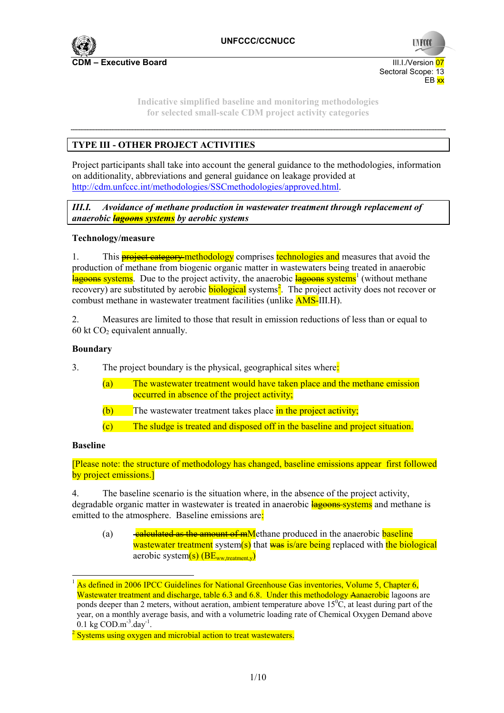

**Indicative simplified baseline and monitoring methodologies for selected small-scale CDM project activity categories** 

# **TYPE III - OTHER PROJECT ACTIVITIES**

Project participants shall take into account the general guidance to the methodologies, information on additionality, abbreviations and general guidance on leakage provided at http://cdm.unfccc.int/methodologies/SSCmethodologies/approved.html.

*III.I. Avoidance of methane production in wastewater treatment through replacement of anaerobic lagoons systems by aerobic systems* 

#### **Technology/measure**

1. This **project category methodology** comprises **technologies and** measures that avoid the production of methane from biogenic organic matter in wastewaters being treated in anaerobic lagoons systems. Due to the project activity, the anaerobic lagoons systems<sup>1</sup> (without methane recovery) are substituted by aerobic **biological** systems<sup>2</sup>. The project activity does not recover or combust methane in wastewater treatment facilities (unlike AMS-III.H).

2. Measures are limited to those that result in emission reductions of less than or equal to 60 kt  $CO<sub>2</sub>$  equivalent annually.

#### **Boundary**

3. The project boundary is the physical, geographical sites where:

- (a) The wastewater treatment would have taken place and the methane emission occurred in absence of the project activity;
- $(b)$  The wastewater treatment takes place in the project activity;
- (c) The sludge is treated and disposed off in the baseline and project situation.

#### **Baseline**

[Please note: the structure of methodology has changed, baseline emissions appear first followed by project emissions.]

4. The baseline scenario is the situation where, in the absence of the project activity, degradable organic matter in wastewater is treated in anaerobic **lagoons** systems and methane is emitted to the atmosphere. Baseline emissions are:

(a)  $\frac{calculated as the amount of mM}$ ethane produced in the anaerobic baseline wastewater treatment system(s) that was is/are being replaced with the biological aerobic system $(s)$  (BE<sub>ww</sub> treatment y)

<sup>&</sup>lt;sup>1</sup> As defined in 2006 IPCC Guidelines for National Greenhouse Gas inventories, Volume 5, Chapter 6, Wastewater treatment and discharge, table 6.3 and 6.8. Under this methodology Aanaerobic lagoons are ponds deeper than 2 meters, without aeration, ambient temperature above  $15\textdegree C$ , at least during part of the year, on a monthly average basis, and with a volumetric loading rate of Chemical Oxygen Demand above 0.1 kg  $COD.m^{-3}.day^{-1}$ .

 $\frac{2}{3}$  Systems using oxygen and microbial action to treat wastewaters.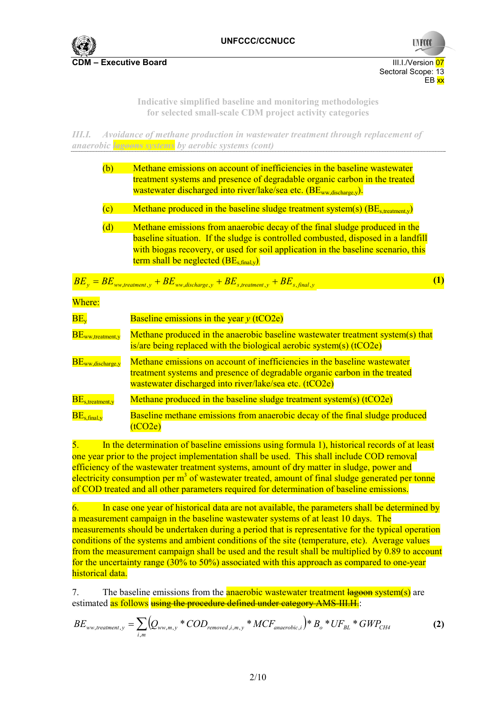

**Indicative simplified baseline and monitoring methodologies for selected small-scale CDM project activity categories** 

*III.I. Avoidance of methane production in wastewater treatment through replacement of anaerobic lagoons systems by aerobic systems (cont)* 

|                                                      | (b)                     | Methane emissions on account of inefficiencies in the baseline wastewater<br>treatment systems and presence of degradable organic carbon in the treated<br>wastewater discharged into river/lake/sea etc. (BE <sub>ww.discharge.v</sub> ).                                                           |                  |
|------------------------------------------------------|-------------------------|------------------------------------------------------------------------------------------------------------------------------------------------------------------------------------------------------------------------------------------------------------------------------------------------------|------------------|
|                                                      | $\overline{\text{(c)}}$ | Methane produced in the baseline sludge treatment system(s) $(BE_{\text{streatment,v}})$                                                                                                                                                                                                             |                  |
|                                                      | (d)                     | Methane emissions from anaerobic decay of the final sludge produced in the<br>baseline situation. If the sludge is controlled combusted, disposed in a landfill<br>with biogas recovery, or used for soil application in the baseline scenario, this<br>term shall be neglected $(BE_{s, final, v})$ |                  |
|                                                      |                         | $BE_y = BE_{ww, treatment, y} + BE_{ww, discharge, y} + BE_{s, treatment, y} + BE_{s, final, y}$                                                                                                                                                                                                     | $\left(1\right)$ |
| Where:                                               |                         |                                                                                                                                                                                                                                                                                                      |                  |
| $BE_v$                                               |                         | Baseline emissions in the year $y$ (tCO2e)                                                                                                                                                                                                                                                           |                  |
| $\overline{\text{BE}_{\text{ww, treatment, y}}}$     |                         | Methane produced in the anaerobic baseline wastewater treatment system(s) that<br>is/are being replaced with the biological aerobic system(s) $(tCO2e)$                                                                                                                                              |                  |
| $BE_{ww,discharge,y}$                                |                         | Methane emissions on account of inefficiencies in the baseline wastewater<br>treatment systems and presence of degradable organic carbon in the treated<br>wastewater discharged into river/lake/sea etc. (tCO2e)                                                                                    |                  |
| $\overline{\text{BE}_{\text{s,treatment},\text{y}}}$ |                         | Methane produced in the baseline sludge treatment system(s) $(tCO2e)$                                                                                                                                                                                                                                |                  |
| $\overline{\text{BE}}_{\text{s,final,v}}$            |                         | Baseline methane emissions from anaerobic decay of the final sludge produced<br>(tCO2e)                                                                                                                                                                                                              |                  |

5. In the determination of baseline emissions using formula 1), historical records of at least one year prior to the project implementation shall be used. This shall include COD removal efficiency of the wastewater treatment systems, amount of dry matter in sludge, power and electricity consumption per  $m<sup>3</sup>$  of wastewater treated, amount of final sludge generated per tonne of COD treated and all other parameters required for determination of baseline emissions.

6. In case one year of historical data are not available, the parameters shall be determined by a measurement campaign in the baseline wastewater systems of at least 10 days. The measurements should be undertaken during a period that is representative for the typical operation conditions of the systems and ambient conditions of the site (temperature, etc). Average values from the measurement campaign shall be used and the result shall be multiplied by 0.89 to account for the uncertainty range (30% to 50%) associated with this approach as compared to one-year historical data.

7. The baseline emissions from the **anaerobic wastewater treatment <del>lagoon</del> system(s)** are estimated as follows using the procedure defined under category AMS-III.H.

$$
BE_{ww, treatment, y} = \sum_{i,m} (Q_{ww,m,y} * COD_{removed,i,m,y} * MCF_{anaerobic,i}) * B_o * UF_{BL} * GWP_{CH4}
$$
 (2)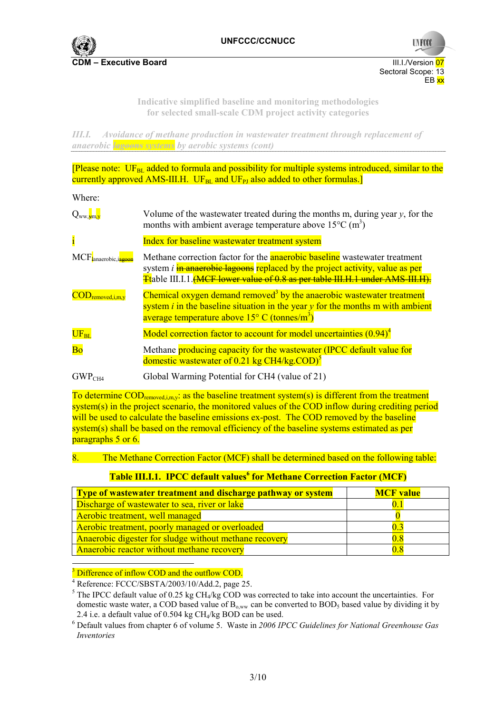

Sectoral Scope: 13 EB xx

**UNFCC** 

**Indicative simplified baseline and monitoring methodologies for selected small-scale CDM project activity categories** 

*III.I. Avoidance of methane production in wastewater treatment through replacement of anaerobic lagoons systems by aerobic systems (cont)* 

[Please note:  $UF_{BL}$  added to formula and possibility for multiple systems introduced, similar to the currently approved AMS-III.H.  $UF_{BL}$  and  $UF_{PI}$  also added to other formulas.]

Where:

| $Q_{ww,\frac{1}{2}m,v}$             | Volume of the wastewater treated during the months m, during year $y$ , for the<br>months with ambient average temperature above $15^{\circ}$ C (m <sup>3</sup> )                                                                                                |
|-------------------------------------|------------------------------------------------------------------------------------------------------------------------------------------------------------------------------------------------------------------------------------------------------------------|
| $\mathbf{i}$                        | Index for baseline wastewater treatment system                                                                                                                                                                                                                   |
| MCF <sub>lanaerobic</sub>           | Methane correction factor for the <b>anaerobic baseline</b> wastewater treatment<br>system <i>i</i> in anaerobic lagoons replaced by the project activity, value as per<br><b>Ttable III.I.1.</b> (MCF lower value of 0.8 as per table III.H.1 under AMS-III.H). |
| $\text{COD}_{\text{removed,i,m.v}}$ | Chemical oxygen demand removed <sup>3</sup> by the anaerobic wastewater treatment<br>system $i$ in the baseline situation in the year $y$ for the months m with ambient<br>average temperature above $15^{\circ}$ C (tonnes/m <sup>3</sup> )                     |
| $\rm UF_{BL}$                       | Model correction factor to account for model uncertainties $(0.94)^4$                                                                                                                                                                                            |
| <b>Bo</b>                           | Methane producing capacity for the wastewater (IPCC default value for<br>domestic wastewater of 0.21 kg $CH4/kg$ . COD $)^5$                                                                                                                                     |
| GWP <sub>CH4</sub>                  | Global Warming Potential for CH4 (value of 21)                                                                                                                                                                                                                   |

To determine COD<sub>removed,i,m,y</sub>: as the baseline treatment system(s) is different from the treatment system(s) in the project scenario, the monitored values of the COD inflow during crediting period will be used to calculate the baseline emissions ex-post. The COD removed by the baseline system(s) shall be based on the removal efficiency of the baseline systems estimated as per paragraphs 5 or 6.

The Methane Correction Factor (MCF) shall be determined based on the following table:

**Table III.I.1. IPCC default values<sup>6</sup> for Methane Correction Factor (MCF)** 

| Type of wastewater treatment and discharge pathway or system | <b>MCF</b> value |
|--------------------------------------------------------------|------------------|
| Discharge of wastewater to sea, river or lake                |                  |
| Aerobic treatment, well managed                              |                  |
| Aerobic treatment, poorly managed or overloaded              |                  |
| Anaerobic digester for sludge without methane recovery       | 08               |
| Anaerobic reactor without methane recovery                   | $0.8\,$          |

 $\overline{a}$ <sup>3</sup> Difference of inflow COD and the outflow COD.

<sup>4</sup> Reference: FCCC/SBSTA/2003/10/Add.2, page 25.<br><sup>5</sup> The IBCC defeult value of 0.25 kg CH /kg COD use

 $<sup>5</sup>$  The IPCC default value of 0.25 kg CH<sub>4</sub>/kg COD was corrected to take into account the uncertainties. For</sup> domestic waste water, a COD based value of  $B_{o,ww}$  can be converted to BOD<sub>5</sub> based value by dividing it by 2.4 i.e. a default value of 0.504 kg  $CH<sub>4</sub>/kg BOD$  can be used.

 Default values from chapter 6 of volume 5. Waste in *2006 IPCC Guidelines for National Greenhouse Gas Inventories*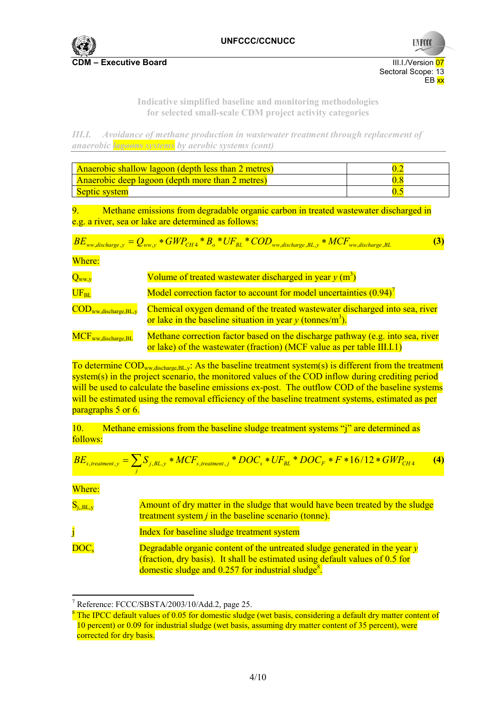

**Indicative simplified baseline and monitoring methodologies for selected small-scale CDM project activity categories** 

*III.I. Avoidance of methane production in wastewater treatment through replacement of anaerobic lagoons systems by aerobic systems (cont)* 

| Anaerobic shallow lagoon (depth less than 2 metres) |  |
|-----------------------------------------------------|--|
| Anaerobic deep lagoon (depth more than 2 metres)    |  |
| Septic system                                       |  |

9. Methane emissions from degradable organic carbon in treated wastewater discharged in e.g. a river, sea or lake are determined as follows:

$$
BE_{ww,discharge,y} = Q_{ww,y} * GWP_{CH4} * B_o * UF_{BL} * COD_{ww,discharge,BL,y} * MCF_{ww,discharge,BL}
$$
 (3)

Where:

| $Q_{ww,y}$                                                   | Volume of treated wastewater discharged in year $y(m^3)$                                                                                                 |
|--------------------------------------------------------------|----------------------------------------------------------------------------------------------------------------------------------------------------------|
| $\overline{\text{UF}_{\text{BL}}}$                           | Model correction factor to account for model uncertainties (0.94) <sup>7</sup>                                                                           |
| $\text{COD}_{\text{ww},\text{discharge},\text{BL},\text{y}}$ | Chemical oxygen demand of the treated wastewater discharged into sea, river<br>or lake in the baseline situation in year $y$ (tonnes/m <sup>3</sup> ).   |
| MCF <sub>ww</sub> discharge, BL                              | Methane correction factor based on the discharge pathway (e.g. into sea, river<br>or lake) of the wastewater (fraction) (MCF value as per table III.I.1) |

To determine  $\text{COD}_{ww\text{-}discharge\text{-}BL,v}$ : As the baseline treatment system(s) is different from the treatment system(s) in the project scenario, the monitored values of the COD inflow during crediting period will be used to calculate the baseline emissions ex-post. The outflow COD of the baseline systems will be estimated using the removal efficiency of the baseline treatment systems, estimated as per paragraphs 5 or 6.

10. Methane emissions from the baseline sludge treatment systems "j" are determined as follows:

$$
BE_{s, treatment, y} = \sum_{j} S_{j, BL, y} * MCF_{s, treatment, j} * DOC_s * UF_{BL} * DOC_F * F * 16/12 * GWP_{CH4}
$$
 (4)

Where:

 $\overline{a}$ 

| $S_{i,BL,y}$         | Amount of dry matter in the sludge that would have been treated by the sludge<br>treatment system $j$ in the baseline scenario (tonne).                                                                                          |
|----------------------|----------------------------------------------------------------------------------------------------------------------------------------------------------------------------------------------------------------------------------|
|                      | Index for baseline sludge treatment system                                                                                                                                                                                       |
| $\overline{DOC_{s}}$ | Degradable organic content of the untreated sludge generated in the year $y$<br>(fraction, dry basis). It shall be estimated using default values of 0.5 for<br>domestic sludge and $0.257$ for industrial sludge <sup>8</sup> . |

<sup>7</sup> Reference: FCCC/SBSTA/2003/10/Add.2, page 25.

<sup>&</sup>lt;sup>8</sup> The IPCC default values of 0.05 for domestic sludge (wet basis, considering a default dry matter content of 10 percent) or 0.09 for industrial sludge (wet basis, assuming dry matter content of 35 percent), were corrected for dry basis.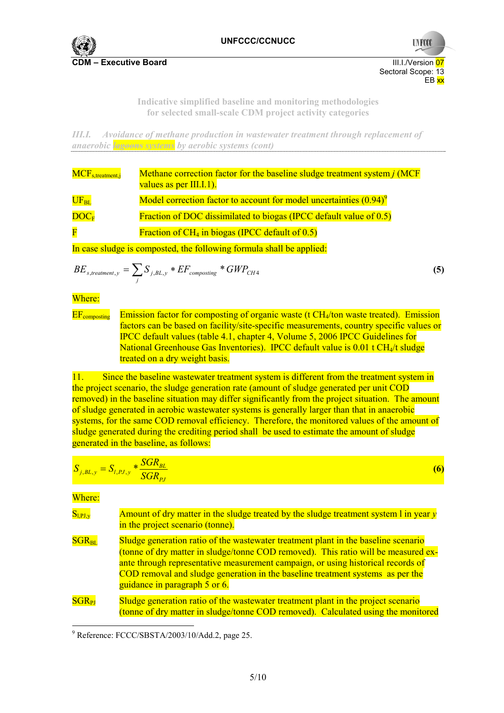

Sectoral Scope: 13 EB xx

**UNFCCC** 

**Indicative simplified baseline and monitoring methodologies for selected small-scale CDM project activity categories** 

*III.I. Avoidance of methane production in wastewater treatment through replacement of anaerobic lagoons systems by aerobic systems (cont)* 

| $MCF_{s, treatment, j}$                                              | Methane correction factor for the baseline sludge treatment system <i>j</i> (MCF<br>values as per $\text{III}.1.1$ ). |
|----------------------------------------------------------------------|-----------------------------------------------------------------------------------------------------------------------|
| $\overline{\mathbf{UF_{BL}}}$                                        | Model correction factor to account for model uncertainties (0.94) <sup>9</sup>                                        |
| $\overline{\mathrm{DOC}_{\mathrm{F}}}$                               | <b>Fraction of DOC dissimilated to biogas (IPCC default value of 0.5)</b>                                             |
| $\overline{\mathbf{F}}$                                              | Fraction of $CH_4$ in biogas (IPCC default of $0.5$ )                                                                 |
| In case sludge is composted, the following formula shall be applied: |                                                                                                                       |

$$
BE_{s, treatment, y} = \sum_{j} S_{j, BL, y} * EF_{composing} * GWP_{CH4}
$$
\n(5)

### Where:

EF<sub>composting</sub> Emission factor for composting of organic waste (t CH<sub>4</sub>/ton waste treated). Emission factors can be based on facility/site-specific measurements, country specific values or IPCC default values (table 4.1, chapter 4, Volume 5, 2006 IPCC Guidelines for National Greenhouse Gas Inventories). IPCC default value is 0.01 t CH<sub>4</sub>/t sludge treated on a dry weight basis.

11. Since the baseline wastewater treatment system is different from the treatment system in the project scenario, the sludge generation rate (amount of sludge generated per unit COD removed) in the baseline situation may differ significantly from the project situation. The amount of sludge generated in aerobic wastewater systems is generally larger than that in anaerobic systems, for the same COD removal efficiency. Therefore, the monitored values of the amount of sludge generated during the crediting period shall be used to estimate the amount of sludge generated in the baseline, as follows:

$$
S_{j,BL,y} = S_{l,PI,y} \cdot \frac{SGR_{BL}}{SGR_{pj}}
$$
 (6)

Where:

| $S_{l,PI,y}$ | Amount of dry matter in the sludge treated by the sludge treatment system 1 in year $y$<br>in the project scenario (tonne).                                                                                                                                                                                                                                                     |
|--------------|---------------------------------------------------------------------------------------------------------------------------------------------------------------------------------------------------------------------------------------------------------------------------------------------------------------------------------------------------------------------------------|
| $SGR_{BL}$   | Sludge generation ratio of the wastewater treatment plant in the baseline scenario<br>(tonne of dry matter in sludge/tonne COD removed). This ratio will be measured ex-<br>ante through representative measurement campaign, or using historical records of<br>COD removal and sludge generation in the baseline treatment systems as per the<br>guidance in paragraph 5 or 6. |
| $SGR_{PI}$   | Sludge generation ratio of the wastewater treatment plant in the project scenario<br>(tonne of dry matter in sludge/tonne COD removed). Calculated using the monitored                                                                                                                                                                                                          |

 9 Reference: FCCC/SBSTA/2003/10/Add.2, page 25.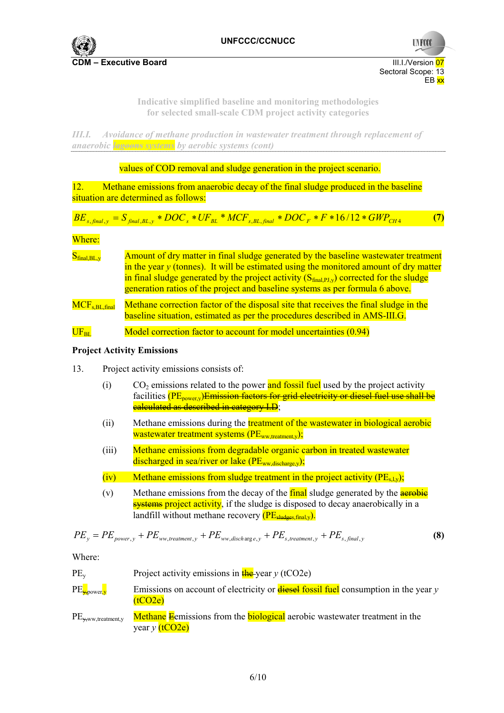

#### **Indicative simplified baseline and monitoring methodologies for selected small-scale CDM project activity categories**

*III.I. Avoidance of methane production in wastewater treatment through replacement of anaerobic lagoons systems by aerobic systems (cont)* 

values of COD removal and sludge generation in the project scenario.

12. Methane emissions from anaerobic decay of the final sludge produced in the baseline situation are determined as follows:

$$
BE_{s, final, y} = S_{final, BL, y} * DOC_{s} * UF_{BL} * MCF_{s, BL, final} * DOC_{F} * F * 16/12 * GWP_{CH4}
$$
 (7)

Where:

| $S_{final, BL, y}$   | Amount of dry matter in final sludge generated by the baseline wastewater treatment<br>in the year $y$ (tonnes). It will be estimated using the monitored amount of dry matter<br>in final sludge generated by the project activity $(S_{final\,PI\,v})$ corrected for the sludge<br>generation ratios of the project and baseline systems as per formula 6 above. |
|----------------------|--------------------------------------------------------------------------------------------------------------------------------------------------------------------------------------------------------------------------------------------------------------------------------------------------------------------------------------------------------------------|
| $MCF_{s, BL, final}$ | Methane correction factor of the disposal site that receives the final sludge in the<br>baseline situation, estimated as per the procedures described in AMS-III.G.                                                                                                                                                                                                |
|                      |                                                                                                                                                                                                                                                                                                                                                                    |

## $U\llbracket F_{BL}$  Model correction factor to account for model uncertainties (0.94)

#### **Project Activity Emissions**

- 13. Project activity emissions consists of:
	- (i) CO<sub>2</sub> emissions related to the power and fossil fuel used by the project activity facilities (PE<sub>nower</sub>, Emission factors for grid electricity or diesel fuel use shall be calculated as described in category I.D;
	- (ii) Methane emissions during the treatment of the wastewater in biological aerobic wastewater treatment systems  $(PE_{ww\text{ treatment }v});$
	- (iii) Methane emissions from degradable organic carbon in treated wastewater discharged in sea/river or lake (PE<sub>ww,discharge,y</sub>);
	- (iv) Methane emissions from sludge treatment in the project activity  $(PE_{s,v})$ ;
	- (v) Methane emissions from the decay of the  $final$  sludge generated by the **aerobic** systems project activity, if the sludge is disposed to decay anaerobically in a landfill without methane recovery  $(P_{\text{Eshades final v}})$ .

$$
PE_{y} = PE_{power,y} + PE_{ww, treatment,y} + PE_{ww, disch\arg e,y} + PE_{s, treatment,y} + PE_{s, final,y}
$$
\n(8)

Where:

| $PE_v$                        | Project activity emissions in $\frac{f}{f}$ + $\frac{f}{f}$ + $\frac{f}{f}$ (tCO2e)                           |
|-------------------------------|---------------------------------------------------------------------------------------------------------------|
| $PE_{\overline{y}$ , power, y | Emissions on account of electricity or <b>diesel fossil fuel</b> consumption in the year $y$<br>(tCO2e)       |
| $PE_{\text{w}$ ww.treatment.y | <b>Methane E</b> emissions from the <b>biological</b> aerobic wastewater treatment in the<br>year y $(tCO2e)$ |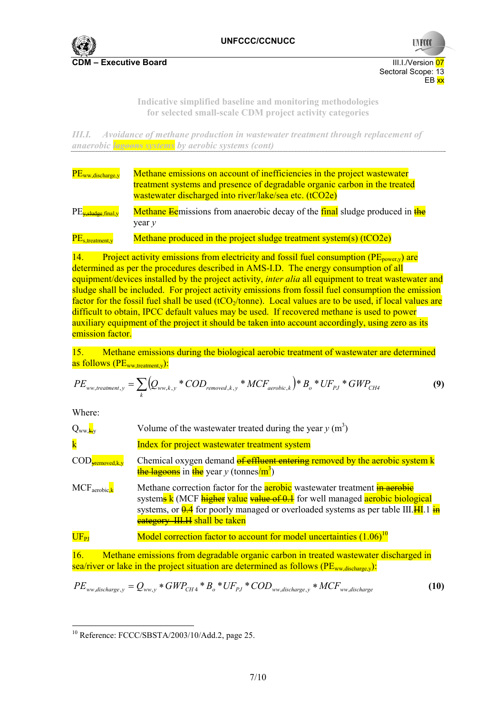

Sectoral Scope: 13 EB xx

**UNFCC** 

**Indicative simplified baseline and monitoring methodologies for selected small-scale CDM project activity categories** 

*III.I. Avoidance of methane production in wastewater treatment through replacement of anaerobic lagoons systems by aerobic systems (cont)* 

| PE <sub>ww</sub> , discharge, y                           | Methane emissions on account of inefficiencies in the project wastewater<br>treatment systems and presence of degradable organic carbon in the treated<br>wastewater discharged into river/lake/sea etc. (tCO2e) |
|-----------------------------------------------------------|------------------------------------------------------------------------------------------------------------------------------------------------------------------------------------------------------------------|
| $PE_{\overline{\text{y,sludge}}, \text{final}, \text{y}}$ | Methane Eemissions from anaerobic decay of the final sludge produced in the<br>year $\nu$                                                                                                                        |
| $PE_{s, treatment, y}$                                    | Methane produced in the project sludge treatment system(s) $(tCO2e)$                                                                                                                                             |

14. Project activity emissions from electricity and fossil fuel consumption ( $PE<sub>power,v</sub>$ ) are determined as per the procedures described in AMS-I.D. The energy consumption of all equipment/devices installed by the project activity, *inter alia* all equipment to treat wastewater and sludge shall be included. For project activity emissions from fossil fuel consumption the emission factor for the fossil fuel shall be used (tCO<sub>2</sub>/tonne). Local values are to be used, if local values are difficult to obtain, IPCC default values may be used. If recovered methane is used to power auxiliary equipment of the project it should be taken into account accordingly, using zero as its emission factor.

15. Methane emissions during the biological aerobic treatment of wastewater are determined as follows  $(PE_{ww, treatment, v})$ :

$$
PE_{ww, treatment, y} = \sum_{k} (Q_{ww, k, y} * COD_{removed, k, y} * MCF_{aerobic, k}) * B_{o} * UF_{p, j} * GWP_{CH4}
$$
\n(9)

Where:

| $Q_{ww,\mathbf{k},v}$                  | Volume of the wastewater treated during the year $y(m^3)$                                                                                                                                                                                                                                                                          |
|----------------------------------------|------------------------------------------------------------------------------------------------------------------------------------------------------------------------------------------------------------------------------------------------------------------------------------------------------------------------------------|
| $\mathbf{k}$                           | Index for project wastewater treatment system                                                                                                                                                                                                                                                                                      |
| $\mathrm{COD}_{\mathrm{yremoved,k,y}}$ | Chemical oxygen demand of effluent entering removed by the aerobic system k<br><b>the lagoons</b> in the year y (tonnes/m <sup>3</sup> )                                                                                                                                                                                           |
| $MCF_{\text{aerobic}}$                 | Methane correction factor for the <b>aerobic</b> wastewater treatment <b>in aerobic</b><br>system <sub>s</sub> k (MCF higher value value of 0.1 for well managed aerobic biological<br>systems, or $\frac{0.4}{0.4}$ for poorly managed or overloaded systems as per table III. HI $\frac{1}{10}$<br>eategory III.H shall be taken |
| $UF_{PI}$                              | Model correction factor to account for model uncertainties $(1.06)^{10}$                                                                                                                                                                                                                                                           |
| $\overline{1}$                         | Mathematic Contract in the contract of the contract of the contract of the contract of the contract of the contract of the contract of the contract of the contract of the contract of the contract of the contract of the con                                                                                                     |

16. Methane emissions from degradable organic carbon in treated wastewater discharged in sea/river or lake in the project situation are determined as follows ( $PE_{ww,diskhare,v}$ ):

$$
PE_{ww,discharge,y} = Q_{ww,y} * GWP_{CH4} * B_o * UF_{PJ} * COD_{ww,discharge,y} * MCF_{ww,discharge}
$$
\n(10)

  $10$  Reference: FCCC/SBSTA/2003/10/Add.2, page 25.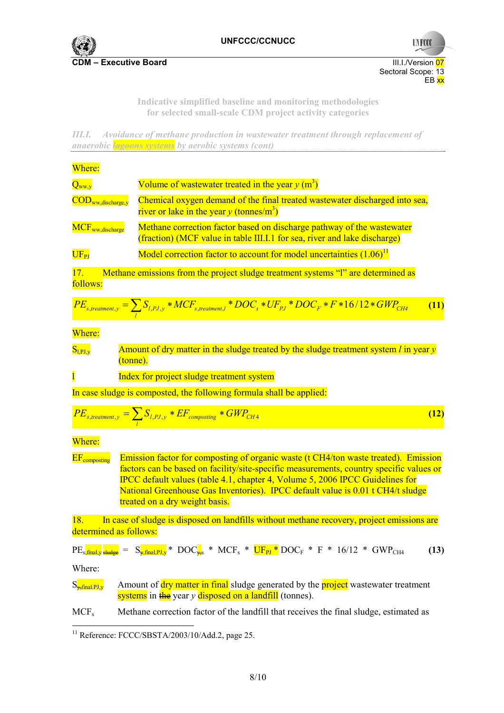

**UNFCCC** Sectoral Scope: 13 EB <mark>xx</mark>

**Indicative simplified baseline and monitoring methodologies for selected small-scale CDM project activity categories** 

*III.I. Avoidance of methane production in wastewater treatment through replacement of anaerobic lagoons systems by aerobic systems (cont)* 

| Where:                                  |                                                                                                                                                                                                                                                                                                                                                                                             |      |
|-----------------------------------------|---------------------------------------------------------------------------------------------------------------------------------------------------------------------------------------------------------------------------------------------------------------------------------------------------------------------------------------------------------------------------------------------|------|
| $Q_{ww,y}$                              | Volume of wastewater treated in the year $y(m^3)$                                                                                                                                                                                                                                                                                                                                           |      |
| COD <sub>ww,discharge,y</sub>           | Chemical oxygen demand of the final treated wastewater discharged into sea,<br>river or lake in the year y (tonnes/m <sup>3</sup> )                                                                                                                                                                                                                                                         |      |
| MCF <sub>ww,discharge</sub>             | Methane correction factor based on discharge pathway of the wastewater<br>(fraction) (MCF value in table III.I.1 for sea, river and lake discharge)                                                                                                                                                                                                                                         |      |
| $UF_{PI}$                               | Model correction factor to account for model uncertainties $(1.06)^{11}$                                                                                                                                                                                                                                                                                                                    |      |
| 17.<br>follows:                         | Methane emissions from the project sludge treatment systems "I" are determined as                                                                                                                                                                                                                                                                                                           |      |
|                                         | $\overline{PE}_{s, treatment, y} = \sum_{l} S_{l, PJ, y} * \overline{MCF}_{s, treatment, l} * DOC_s * UF_{PJ} * DOC_F * F * 16/12 * GWP_{CH4}$                                                                                                                                                                                                                                              | (11) |
| Where:                                  |                                                                                                                                                                                                                                                                                                                                                                                             |      |
| $S_{l,PI,y}$                            | Amount of dry matter in the sludge treated by the sludge treatment system $l$ in year $y$<br>tonne).                                                                                                                                                                                                                                                                                        |      |
| $\overline{1}$                          | Index for project sludge treatment system                                                                                                                                                                                                                                                                                                                                                   |      |
|                                         | In case sludge is composted, the following formula shall be applied:                                                                                                                                                                                                                                                                                                                        |      |
|                                         | $PE_{s, treatment, y} = \sum_{l} S_{l, PJ, y} * EF_{composing} * GWP_{CH4}$                                                                                                                                                                                                                                                                                                                 | (12) |
| Where:                                  |                                                                                                                                                                                                                                                                                                                                                                                             |      |
| $EF_{\rm composing}$                    | Emission factor for composting of organic waste (t CH4/ton waste treated). Emission<br>factors can be based on facility/site-specific measurements, country specific values or<br><b>IPCC</b> default values (table 4.1, chapter 4, Volume 5, 2006 IPCC Guidelines for<br>National Greenhouse Gas Inventories). IPCC default value is 0.01 t CH4/t sludge<br>treated on a dry weight basis. |      |
| 18.                                     | In case of sludge is disposed on landfills without methane recovery, project emissions are<br>determined as follows:                                                                                                                                                                                                                                                                        |      |
|                                         | $PE_s$ final y sludge = $S_{\gamma, \text{final}, PJ, y}$ * $DOC_{\gamma, s}$ * $MCF_s$ * $UF_{PI}$ * $DOC_F$ * $F$ * $16/12$ * $GWP_{CH4}$                                                                                                                                                                                                                                                 | (13) |
| Where:                                  |                                                                                                                                                                                                                                                                                                                                                                                             |      |
| $S_{\frac{1}{2}$ final.PJ <sub>,y</sub> | Amount of dry matter in final sludge generated by the project wastewater treatment<br>systems in the year y disposed on a landfill (tonnes).                                                                                                                                                                                                                                                |      |
| MCF <sub>s</sub>                        | Methane correction factor of the landfill that receives the final sludge, estimated as                                                                                                                                                                                                                                                                                                      |      |

 $11$  Reference: FCCC/SBSTA/2003/10/Add.2, page 25.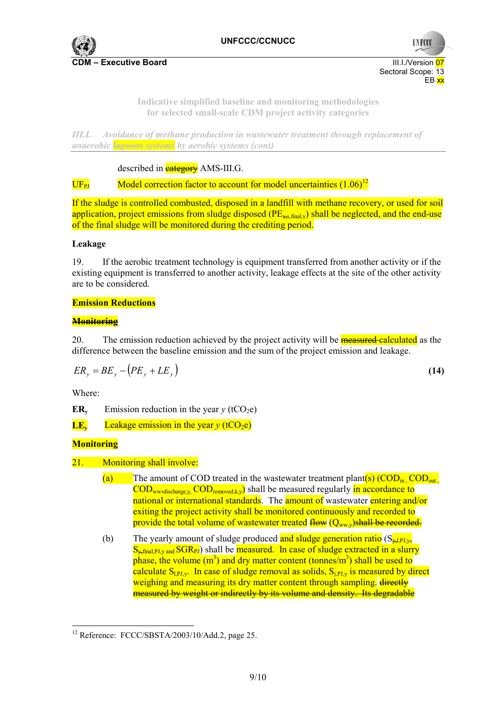

**Indicative simplified baseline and monitoring methodologies for selected small-scale CDM project activity categories** 

*III.I. Avoidance of methane production in wastewater treatment through replacement of anaerobic lagoons systems by aerobic systems (cont)* 

described in **category** AMS-III.G.

 $\text{UF}_{\text{PI}}$  Model correction factor to account for model uncertainties  $(1.06)^{12}$ 

If the sludge is controlled combusted, disposed in a landfill with methane recovery, or used for soil application, project emissions from sludge disposed  $(PE_{\text{w.s.final,v}})$  shall be neglected, and the end-use of the final sludge will be monitored during the crediting period.

#### **Leakage**

19. If the aerobic treatment technology is equipment transferred from another activity or if the existing equipment is transferred to another activity, leakage effects at the site of the other activity are to be considered.

## **Emission Reductions**

## **Monitoring**

20. The emission reduction achieved by the project activity will be **measured calculated** as the difference between the baseline emission and the sum of the project emission and leakage.

$$
ER_y = BE_y - (PE_y + LE_y)
$$
\n<sup>(14)</sup>

Where:

**ER<sub>y</sub>** Emission reduction in the year  $y$  (tCO<sub>2</sub>e)

**LE<sub>y</sub>** Leakage emission in the year  $v$  (tCO<sub>2</sub>e)

## **Monitoring**

- 21. Monitoring shall involve:
	- (a) The amount of COD treated in the wastewater treatment plant(s)  $(COD_{in} COD_{out}$  $\overline{COD}_{ww,diskparge,v}$ ,  $\overline{COD}_{removed,k,v}$  shall be measured regularly in accordance to national or international standards. The amount of wastewater entering and/or exiting the project activity shall be monitored continuously and recorded to provide the total volume of wastewater treated  $f_{\text{low}}(Q_{ww}y)$ shall be recorded.
	- (b) The yearly amount of sludge produced and sludge generation ratio  $(S_{\rm wLPI,vy}$  $S_{\rm x, final, PJ, y, and SGR<sub>PI</sub>}$  shall be measured. In case of sludge extracted in a slurry phase, the volume  $(m^3)$  and dry matter content (tonnes/m<sup>3</sup>) shall be used to calculate  $S_{LPLy}$ . In case of sludge removal as solids,  $S_{LPLy}$  is measured by direct weighing and measuring its dry matter content through sampling. directly measured by weight or indirectly by its volume and density. Its degradable

  $12$  Reference: FCCC/SBSTA/2003/10/Add.2, page 25.